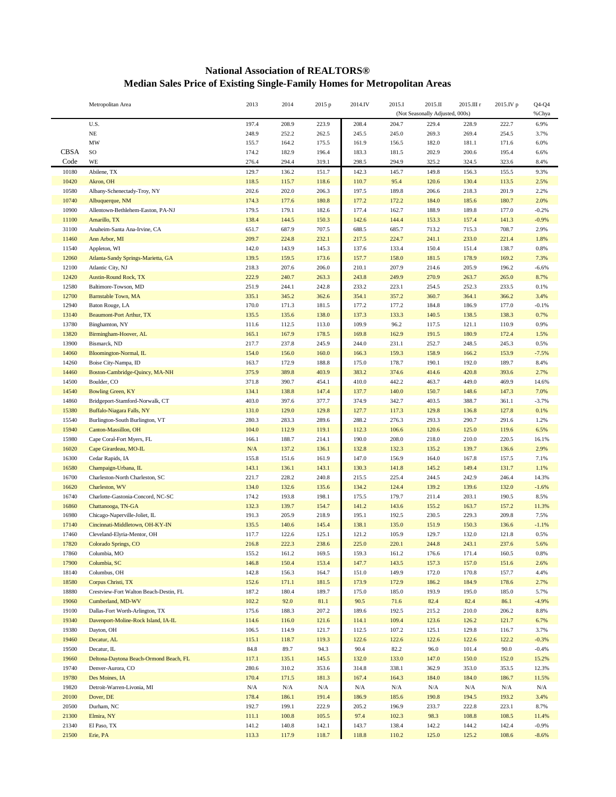## **National Association of REALTORS® Median Sales Price of Existing Single-Family Homes for Metropolitan Areas**

|                     | Metropolitan Area                             | 2013           | 2014           | 2015 p         | 2014.IV        | 2015.I                          | 2015.II        | 2015.III r     | 2015.IV p      | $Q4-Q4$      |
|---------------------|-----------------------------------------------|----------------|----------------|----------------|----------------|---------------------------------|----------------|----------------|----------------|--------------|
|                     |                                               |                |                |                |                | (Not Seasonally Adjusted, 000s) |                |                |                | %Chya        |
|                     | U.S.                                          | 197.4          | 208.9          | 223.9          | 208.4          | 204.7                           | 229.4          | 228.9          | 222.7          | 6.9%         |
|                     | $_{\rm NE}$                                   | 248.9          | 252.2          | 262.5          | 245.5          | 245.0                           | 269.3          | 269.4          | 254.5          | 3.7%         |
|                     | MW                                            | 155.7          | 164.2          | 175.5          | 161.9          | 156.5                           | 182.0          | 181.1          | 171.6          | 6.0%         |
| <b>CBSA</b><br>Code | $\rm SO$<br>WE                                | 174.2          | 182.9          | 196.4          | 183.3          | 181.5                           | 202.9          | 200.6          | 195.4<br>323.6 | 6.6%         |
|                     |                                               | 276.4          | 294.4          | 319.1          | 298.5          | 294.9                           | 325.2          | 324.5          |                | 8.4%         |
| 10180<br>10420      | Abilene, TX<br>Akron, OH                      | 129.7<br>118.5 | 136.2<br>115.7 | 151.7<br>118.6 | 142.3<br>110.7 | 145.7<br>95.4                   | 149.8<br>120.6 | 156.3<br>130.4 | 155.5<br>113.5 | 9.3%<br>2.5% |
| 10580               | Albany-Schenectady-Troy, NY                   | 202.6          | 202.0          | 206.3          | 197.5          | 189.8                           | 206.6          | 218.3          | 201.9          | 2.2%         |
| 10740               | Albuquerque, NM                               | 174.3          | 177.6          | 180.8          | 177.2          | 172.2                           | 184.0          | 185.6          | 180.7          | 2.0%         |
| 10900               | Allentown-Bethlehem-Easton, PA-NJ             | 179.5          | 179.1          | 182.6          | 177.4          | 162.7                           | 188.9          | 189.8          | 177.0          | $-0.2%$      |
| 11100               | Amarillo, TX                                  | 138.4          | 144.5          | 150.3          | 142.6          | 144.4                           | 153.3          | 157.4          | 141.3          | $-0.9%$      |
| 31100               | Anaheim-Santa Ana-Irvine, CA                  | 651.7          | 687.9          | 707.5          | 688.5          | 685.7                           | 713.2          | 715.3          | 708.7          | 2.9%         |
| 11460               | Ann Arbor, MI                                 | 209.7          | 224.8          | 232.1          | 217.5          | 224.7                           | 241.1          | 233.0          | 221.4          | 1.8%         |
| 11540               | Appleton, WI                                  | 142.0          | 143.9          | 145.3          | 137.6          | 133.4                           | 150.4          | 151.4          | 138.7          | 0.8%         |
| 12060               | Atlanta-Sandy Springs-Marietta, GA            | 139.5          | 159.5          | 173.6          | 157.7          | 158.0                           | 181.5          | 178.9          | 169.2          | 7.3%         |
| 12100               | Atlantic City, NJ                             | 218.3          | 207.6          | 206.0          | 210.1          | 207.9                           | 214.6          | 205.9          | 196.2          | $-6.6%$      |
| 12420               | <b>Austin-Round Rock, TX</b>                  | 222.9          | 240.7          | 263.3          | 243.8          | 249.9                           | 270.9          | 263.7          | 265.0          | 8.7%         |
| 12580               | Baltimore-Towson, MD                          | 251.9          | 244.1          | 242.8          | 233.2          | 223.1                           | 254.5          | 252.3          | 233.5          | 0.1%         |
| 12700               | Barnstable Town, MA                           | 335.1          | 345.2          | 362.6          | 354.1          | 357.2                           | 360.7          | 364.1          | 366.2          | 3.4%         |
| 12940               | Baton Rouge, LA                               | 170.0          | 171.3          | 181.5          | 177.2          | 177.2                           | 184.8          | 186.9          | 177.0          | $-0.1%$      |
| 13140               | <b>Beaumont-Port Arthur, TX</b>               | 135.5          | 135.6          | 138.0          | 137.3          | 133.3                           | 140.5          | 138.5          | 138.3          | 0.7%         |
| 13780               | Binghamton, NY                                | 111.6          | 112.5          | 113.0          | 109.9          | 96.2                            | 117.5          | 121.1          | 110.9          | 0.9%         |
| 13820               | Birmingham-Hoover, AL                         | 165.1          | 167.9          | 178.5          | 169.8          | 162.9                           | 191.5          | 180.9          | 172.4          | 1.5%         |
| 13900               | Bismarck, ND                                  | 217.7          | 237.8          | 245.9          | 244.0          | 231.1                           | 252.7          | 248.5          | 245.3          | 0.5%         |
| 14060               | Bloomington-Normal, IL                        | 154.0          | 156.0          | 160.0          | 166.3          | 159.3                           | 158.9          | 166.2          | 153.9          | $-7.5%$      |
| 14260<br>14460      | Boise City-Nampa, ID                          | 163.7<br>375.9 | 172.9<br>389.8 | 188.8<br>403.9 | 175.0          | 178.7<br>374.6                  | 190.1          | 192.0<br>420.8 | 189.7<br>393.6 | 8.4%<br>2.7% |
| 14500               | Boston-Cambridge-Quincy, MA-NH<br>Boulder, CO | 371.8          | 390.7          | 454.1          | 383.2<br>410.0 | 442.2                           | 414.6<br>463.7 | 449.0          | 469.9          | 14.6%        |
| 14540               | <b>Bowling Green, KY</b>                      | 134.1          | 138.8          | 147.4          | 137.7          | 140.0                           | 150.7          | 148.6          | 147.3          | 7.0%         |
| 14860               | Bridgeport-Stamford-Norwalk, CT               | 403.0          | 397.6          | 377.7          | 374.9          | 342.7                           | 403.5          | 388.7          | 361.1          | $-3.7%$      |
| 15380               | Buffalo-Niagara Falls, NY                     | 131.0          | 129.0          | 129.8          | 127.7          | 117.3                           | 129.8          | 136.8          | 127.8          | 0.1%         |
| 15540               | Burlington-South Burlington, VT               | 280.3          | 283.3          | 289.6          | 288.2          | 276.3                           | 293.3          | 290.7          | 291.6          | 1.2%         |
| 15940               | Canton-Massillon, OH                          | 104.0          | 112.9          | 119.1          | 112.3          | 106.6                           | 120.6          | 125.0          | 119.6          | 6.5%         |
| 15980               | Cape Coral-Fort Myers, FL                     | 166.1          | 188.7          | 214.1          | 190.0          | 208.0                           | 218.0          | 210.0          | 220.5          | 16.1%        |
| 16020               | Cape Girardeau, MO-IL                         | N/A            | 137.2          | 136.1          | 132.8          | 132.3                           | 135.2          | 139.7          | 136.6          | 2.9%         |
| 16300               | Cedar Rapids, IA                              | 155.8          | 151.6          | 161.9          | 147.0          | 156.9                           | 164.0          | 167.8          | 157.5          | 7.1%         |
| 16580               | Champaign-Urbana, IL                          | 143.1          | 136.1          | 143.1          | 130.3          | 141.8                           | 145.2          | 149.4          | 131.7          | 1.1%         |
| 16700               | Charleston-North Charleston, SC               | 221.7          | 228.2          | 240.8          | 215.5          | 225.4                           | 244.5          | 242.9          | 246.4          | 14.3%        |
| 16620               | Charleston, WV                                | 134.0          | 132.6          | 135.6          | 134.2          | 124.4                           | 139.2          | 139.6          | 132.0          | $-1.6%$      |
| 16740               | Charlotte-Gastonia-Concord, NC-SC             | 174.2          | 193.8          | 198.1          | 175.5          | 179.7                           | 211.4          | 203.1          | 190.5          | 8.5%         |
| 16860               | Chattanooga, TN-GA                            | 132.3          | 139.7          | 154.7          | 141.2          | 143.6                           | 155.2          | 163.7          | 157.2          | 11.3%        |
| 16980               | Chicago-Naperville-Joliet, IL                 | 191.3          | 205.9          | 218.9          | 195.1          | 192.5                           | 230.5          | 229.3          | 209.8          | 7.5%         |
| 17140               | Cincinnati-Middletown, OH-KY-IN               | 135.5          | 140.6          | 145.4          | 138.1          | 135.0                           | 151.9          | 150.3          | 136.6          | $-1.1%$      |
| 17460               | Cleveland-Elyria-Mentor, OH                   | 117.7          | 122.6          | 125.1          | 121.2          | 105.9                           | 129.7          | 132.0          | 121.8          | 0.5%         |
| 17820               | Colorado Springs, CO                          | 216.8          | 222.3          | 238.6          | 225.0          | 220.1                           | 244.8          | 243.1          | 237.6          | 5.6%         |
| 17860<br>17900      | Columbia, MO<br>Columbia, SC                  | 155.2          | 161.2          | 169.5<br>153.4 | 159.3          | 161.2<br>143.5                  | 176.6          | 171.4          | 160.5          | 0.8%<br>2.6% |
| 18140               | Columbus, OH                                  | 146.8<br>142.8 | 150.4<br>156.3 | 164.7          | 147.7<br>151.0 | 149.9                           | 157.3<br>172.0 | 157.0<br>170.8 | 151.6<br>157.7 | 4.4%         |
| 18580               | Corpus Christi, TX                            | 152.6          | 171.1          | 181.5          | 173.9          | 172.9                           | 186.2          | 184.9          | 178.6          | 2.7%         |
| 18880               | Crestview-Fort Walton Beach-Destin, FL        | 187.2          | 180.4          | 189.7          | 175.0          | 185.0                           | 193.9          | 195.0          | 185.0          | 5.7%         |
| 19060               | Cumberland, MD-WV                             | 102.2          | 92.0           | 81.1           | 90.5           | 71.6                            | 82.4           | 82.4           | 86.1           | $-4.9%$      |
| 19100               | Dallas-Fort Worth-Arlington, TX               | 175.6          | 188.3          | 207.2          | 189.6          | 192.5                           | 215.2          | 210.0          | 206.2          | 8.8%         |
| 19340               | Davenport-Moline-Rock Island, IA-IL           | 114.6          | 116.0          | 121.6          | 114.1          | 109.4                           | 123.6          | 126.2          | 121.7          | 6.7%         |
| 19380               | Dayton, OH                                    | 106.5          | 114.9          | 121.7          | 112.5          | 107.2                           | 125.1          | 129.8          | 116.7          | 3.7%         |
| 19460               | Decatur, AL                                   | 115.1          | 118.7          | 119.3          | 122.6          | 122.6                           | 122.6          | 122.6          | 122.2          | $-0.3%$      |
| 19500               | Decatur, IL                                   | 84.8           | 89.7           | 94.3           | 90.4           | 82.2                            | 96.0           | 101.4          | 90.0           | $-0.4%$      |
| 19660               | Deltona-Daytona Beach-Ormond Beach, FL        | 117.1          | 135.1          | 145.5          | 132.0          | 133.0                           | 147.0          | 150.0          | 152.0          | 15.2%        |
| 19740               | Denver-Aurora, CO                             | 280.6          | 310.2          | 353.6          | 314.8          | 338.1                           | 362.9          | 353.0          | 353.5          | 12.3%        |
| 19780               | Des Moines, IA                                | 170.4          | 171.5          | 181.3          | 167.4          | 164.3                           | 184.0          | 184.0          | 186.7          | 11.5%        |
| 19820               | Detroit-Warren-Livonia, MI                    | N/A            | $\rm N/A$      | N/A            | $\rm N/A$      | $\rm N/A$                       | N/A            | $\rm N/A$      | $\rm N/A$      | N/A          |
| 20100               | Dover, DE                                     | 178.4          | 186.1          | 191.4          | 186.9          | 185.6                           | 190.8          | 194.5          | 193.2          | 3.4%         |
| 20500               | Durham, NC                                    | 192.7          | 199.1          | 222.9          | 205.2          | 196.9                           | 233.7          | 222.8          | 223.1          | 8.7%         |
| 21300               | Elmira, NY                                    | 111.1          | 100.8          | 105.5          | 97.4           | 102.3                           | 98.3           | 108.8          | 108.5          | 11.4%        |
| 21340               | El Paso, TX                                   | 141.2          | 140.8          | 142.1          | 143.7          | 138.4                           | 142.2          | 144.2          | 142.4          | $-0.9%$      |
| 21500               | Erie, PA                                      | 113.3          | 117.9          | 118.7          | 118.8          | 110.2                           | 125.0          | 125.2          | 108.6          | $-8.6%$      |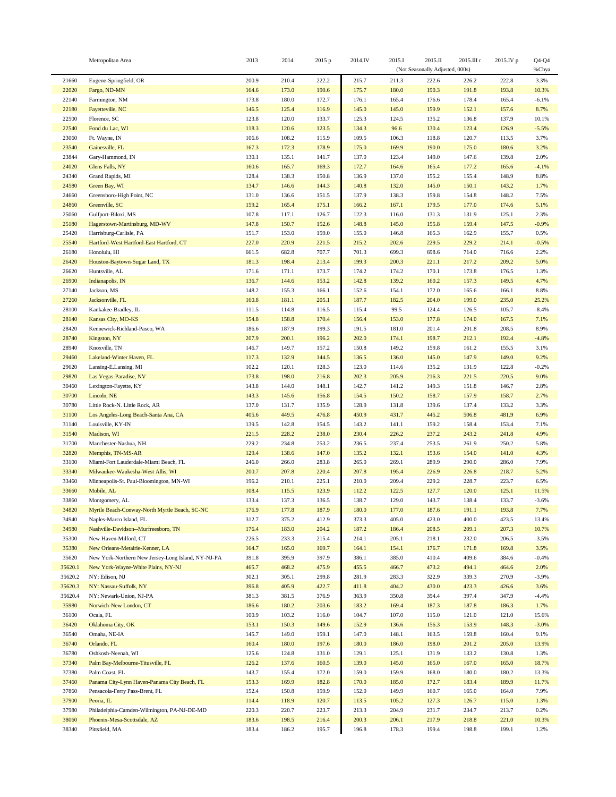|                | Metropolitan Area                                  | 2013           | 2014           | 2015 p         | 2014.IV        | 2015.I         | 2015.II                         | 2015.III r     | 2015.IV p      | $Q4-Q4$         |
|----------------|----------------------------------------------------|----------------|----------------|----------------|----------------|----------------|---------------------------------|----------------|----------------|-----------------|
|                |                                                    |                |                |                |                |                | (Not Seasonally Adjusted, 000s) |                |                | %Chya           |
| 21660          | Eugene-Springfield, OR                             | 200.9          | 210.4          | 222.2          | 215.7          | 211.3          | 222.6                           | 226.2          | 222.8          | 3.3%            |
| 22020          | Fargo, ND-MN                                       | 164.6          | 173.0          | 190.6          | 175.7          | 180.0          | 190.3                           | 191.8          | 193.8          | 10.3%           |
| 22140          | Farmington, NM                                     | 173.8          | 180.0          | 172.7          | 176.1          | 165.4          | 176.6                           | 178.4          | 165.4          | $-6.1%$         |
| 22180          | Fayetteville, NC                                   | 146.5          | 125.4          | 116.9          | 145.0          | 145.0          | 159.9                           | 152.1          | 157.6          | 8.7%            |
| 22500          | Florence, SC                                       | 123.8          | 120.0          | 133.7          | 125.3          | 124.5          | 135.2                           | 136.8          | 137.9          | 10.1%           |
| 22540          | Fond du Lac, WI                                    | 118.3<br>106.6 | 120.6          | 123.5          | 134.3<br>109.5 | 96.6           | 130.4<br>118.8                  | 123.4<br>120.7 | 126.9          | $-5.5%$         |
| 23060<br>23540 | Ft. Wayne, IN<br>Gainesville, FL                   | 167.3          | 108.2<br>172.3 | 115.9<br>178.9 | 175.0          | 106.3<br>169.9 | 190.0                           | 175.0          | 113.5<br>180.6 | 3.7%<br>3.2%    |
| 23844          | Gary-Hammond, IN                                   | 130.1          | 135.1          | 141.7          | 137.0          | 123.4          | 149.0                           | 147.6          | 139.8          | 2.0%            |
| 24020          | Glens Falls, NY                                    | 160.6          | 165.7          | 169.3          | 172.7          | 164.6          | 165.4                           | 177.2          | 165.6          | $-4.1%$         |
| 24340          | Grand Rapids, MI                                   | 128.4          | 138.3          | 150.8          | 136.9          | 137.0          | 155.2                           | 155.4          | 148.9          | 8.8%            |
| 24580          | Green Bay, WI                                      | 134.7          | 146.6          | 144.3          | 140.8          | 132.0          | 145.0                           | 150.1          | 143.2          | 1.7%            |
| 24660          | Greensboro-High Point, NC                          | 131.0          | 136.6          | 151.5          | 137.9          | 138.3          | 159.8                           | 154.8          | 148.2          | 7.5%            |
| 24860          | Greenville, SC                                     | 159.2          | 165.4          | 175.1          | 166.2          | 167.1          | 179.5                           | 177.0          | 174.6          | 5.1%            |
| 25060          | Gulfport-Biloxi, MS                                | 107.8          | 117.1          | 126.7          | 122.3          | 116.0          | 131.3                           | 131.9          | 125.1          | 2.3%            |
| 25180          | Hagerstown-Martinsburg, MD-WV                      | 147.8          | 150.7          | 152.6          | 148.8          | 145.0          | 155.8                           | 159.4          | 147.5          | $-0.9%$         |
| 25420          | Harrisburg-Carlisle, PA                            | 151.7          | 153.0          | 159.0          | 155.0          | 146.8          | 165.3                           | 162.9          | 155.7          | 0.5%            |
| 25540          | Hartford-West Hartford-East Hartford, CT           | 227.0          | 220.9          | 221.5          | 215.2          | 202.6          | 229.5                           | 229.2          | 214.1          | $-0.5%$         |
| 26180          | Honolulu, HI                                       | 661.5          | 682.8          | 707.7          | 701.3          | 699.3          | 698.6                           | 714.0          | 716.6          | 2.2%            |
| 26420          | Houston-Baytown-Sugar Land, TX                     | 181.3          | 198.4          | 213.4          | 199.3          | 200.3          | 221.1                           | 217.2          | 209.2          | 5.0%            |
| 26620          | Huntsville, AL                                     | 171.6          | 171.1          | 173.7          | 174.2          | 174.2          | 170.1                           | 173.8          | 176.5          | 1.3%            |
| 26900          | Indianapolis, IN                                   | 136.7          | 144.6          | 153.2          | 142.8          | 139.2          | 160.2                           | 157.3          | 149.5          | 4.7%            |
| 27140          | Jackson, MS                                        | 148.2          | 155.3          | 166.1          | 152.6          | 154.1          | 172.0                           | 165.6          | 166.1          | 8.8%            |
| 27260          | Jacksonville, FL                                   | 160.8          | 181.1          | 205.1          | 187.7          | 182.5          | 204.0                           | 199.0          | 235.0          | 25.2%           |
| 28100          | Kankakee-Bradley, IL                               | 111.5          | 114.8          | 116.5          | 115.4          | 99.5           | 124.4                           | 126.5          | 105.7          | $-8.4%$         |
| 28140          | Kansas City, MO-KS                                 | 154.8          | 158.8          | 170.4          | 156.4          | 153.0          | 177.8                           | 174.0          | 167.5          | 7.1%            |
| 28420          | Kennewick-Richland-Pasco, WA                       | 186.6          | 187.9          | 199.3          | 191.5          | 181.0          | 201.4                           | 201.8          | 208.5          | 8.9%            |
| 28740          | Kingston, NY                                       | 207.9          | 200.1          | 196.2          | 202.0          | 174.1          | 198.7                           | 212.1          | 192.4          | $-4.8%$         |
| 28940          | Knoxville, TN                                      | 146.7          | 149.7          | 157.2          | 150.8          | 149.2          | 159.8                           | 161.2          | 155.5          | 3.1%            |
| 29460<br>29620 | Lakeland-Winter Haven, FL                          | 117.3<br>102.2 | 132.9<br>120.1 | 144.5<br>128.3 | 136.5<br>123.0 | 136.0<br>114.6 | 145.0                           | 147.9<br>131.9 | 149.0<br>122.8 | 9.2%<br>$-0.2%$ |
| 29820          | Lansing-E.Lansing, MI<br>Las Vegas-Paradise, NV    | 173.8          | 198.0          | 216.8          | 202.3          | 205.9          | 135.2<br>216.3                  | 221.5          | 220.5          | 9.0%            |
| 30460          | Lexington-Fayette, KY                              | 143.8          | 144.0          | 148.1          | 142.7          | 141.2          | 149.3                           | 151.8          | 146.7          | 2.8%            |
| 30700          | Lincoln, NE                                        | 143.3          | 145.6          | 156.8          | 154.5          | 150.2          | 158.7                           | 157.9          | 158.7          | 2.7%            |
| 30780          | Little Rock-N. Little Rock, AR                     | 137.0          | 131.7          | 135.9          | 128.9          | 131.8          | 139.6                           | 137.4          | 133.2          | 3.3%            |
| 31100          | Los Angeles-Long Beach-Santa Ana, CA               | 405.6          | 449.5          | 476.8          | 450.9          | 431.7          | 445.2                           | 506.8          | 481.9          | 6.9%            |
| 31140          | Louisville, KY-IN                                  | 139.5          | 142.8          | 154.5          | 143.2          | 141.1          | 159.2                           | 158.4          | 153.4          | 7.1%            |
| 31540          | Madison, WI                                        | 221.5          | 228.2          | 238.0          | 230.4          | 226.2          | 237.2                           | 243.2          | 241.8          | 4.9%            |
| 31700          | Manchester-Nashua, NH                              | 229.2          | 234.8          | 253.2          | 236.5          | 237.4          | 253.5                           | 261.9          | 250.2          | 5.8%            |
| 32820          | Memphis, TN-MS-AR                                  | 129.4          | 138.6          | 147.0          | 135.2          | 132.1          | 153.6                           | 154.0          | 141.0          | 4.3%            |
| 33100          | Miami-Fort Lauderdale-Miami Beach, FL              | 246.0          | 266.0          | 283.8          | 265.0          | 269.1          | 289.9                           | 290.0          | 286.0          | 7.9%            |
| 33340          | Milwaukee-Waukesha-West Allis, WI                  | 200.7          | 207.8          | 220.4          | 207.8          | 195.4          | 226.9                           | 226.8          | 218.7          | 5.2%            |
| 33460          | Minneapolis-St. Paul-Bloomington, MN-WI            | 196.2          | 210.1          | 225.1          | 210.0          | 209.4          | 229.2                           | 228.7          | 223.7          | 6.5%            |
| 33660          | Mobile, AL                                         | 108.4          | 115.5          | 123.9          | 112.2          | 122.5          | 127.7                           | 120.0          | 125.1          | 11.5%           |
| 33860          | Montgomery, AL                                     | 133.4          | 137.3          | 136.5          | 138.7          | 129.0          | 143.7                           | 138.4          | 133.7          | $-3.6%$         |
| 34820          | Myrtle Beach-Conway-North Myrtle Beach, SC-NC      | 176.9          | 177.8          | 187.9          | 180.0          | 177.0          | 187.6                           | 191.1          | 193.8          | 7.7%            |
| 34940          | Naples-Marco Island, FL                            | 312.7          | 375.2          | 412.9          | 373.3          | 405.0          | 423.0                           | 400.0          | 423.5          | 13.4%           |
| 34980          | Nashville-Davidson--Murfreesboro, TN               | 176.4          | 183.0          | 204.2          | 187.2          | 186.4          | 208.5                           | 209.1          | 207.3          | 10.7%           |
| 35300          | New Haven-Milford, CT                              | 226.5          | 233.3          | 215.4          | 214.1          | 205.1          | 218.1                           | 232.0          | 206.5          | $-3.5%$         |
| 35380          | New Orleans-Metairie-Kenner, LA                    | 164.7          | 165.0          | 169.7          | 164.1          | 154.1          | 176.7                           | 171.8          | 169.8          | 3.5%            |
| 35620          | New York-Northern New Jersey-Long Island, NY-NJ-PA | 391.8          | 395.9          | 397.9          | 386.1          | 385.0          | 410.4                           | 409.6          | 384.6          | $-0.4%$         |
| 35620.1        | New York-Wayne-White Plains, NY-NJ                 | 465.7          | 468.2          | 475.9          | 455.5          | 466.7          | 473.2                           | 494.1          | 464.6          | 2.0%            |
| 35620.2        | NY: Edison, NJ                                     | 302.1          | 305.1          | 299.8          | 281.9          | 283.3          | 322.9                           | 339.3          | 270.9          | $-3.9%$         |
| 35620.3        | NY: Nassau-Suffolk, NY                             | 396.8          | 405.9          | 422.7          | 411.8          | 404.2          | 430.0                           | 423.3          | 426.6          | 3.6%            |
| 35620.4        | NY: Newark-Union, NJ-PA                            | 381.3          | 381.5          | 376.9          | 363.9          | 350.8          | 394.4                           | 397.4          | 347.9          | $-4.4%$         |
| 35980<br>36100 | Norwich-New London, CT<br>Ocala, FL                | 186.6<br>100.9 | 180.2<br>103.2 | 203.6<br>116.0 | 183.2<br>104.7 | 169.4<br>107.0 | 187.3<br>115.0                  | 187.8<br>121.0 | 186.3<br>121.0 | 1.7%<br>15.6%   |
| 36420          | Oklahoma City, OK                                  | 153.1          |                | 149.6          | 152.9          |                |                                 | 153.9          | 148.3          | $-3.0%$         |
| 36540          | Omaha, NE-IA                                       | 145.7          | 150.3<br>149.0 | 159.1          | 147.0          | 136.6<br>148.1 | 156.3<br>163.5                  | 159.8          | 160.4          | 9.1%            |
| 36740          | Orlando, FL                                        | 160.4          | 180.0          | 197.6          | 180.0          | 186.0          | 198.0                           | 201.2          | 205.0          | 13.9%           |
| 36780          | Oshkosh-Neenah, WI                                 | 125.6          | 124.8          | 131.0          | 129.1          | 125.1          | 131.9                           | 133.2          | 130.8          | 1.3%            |
| 37340          | Palm Bay-Melbourne-Titusville, FL                  | 126.2          | 137.6          | 160.5          | 139.0          | 145.0          | 165.0                           | 167.0          | 165.0          | 18.7%           |
| 37380          | Palm Coast, FL                                     | 143.7          | 155.4          | 172.0          | 159.0          | 159.9          | 168.0                           | 180.0          | 180.2          | 13.3%           |
| 37460          | Panama City-Lynn Haven-Panama City Beach, FL       | 153.3          | 169.9          | 182.8          | 170.0          | 185.0          | 172.7                           | 183.4          | 189.9          | 11.7%           |
| 37860          | Pensacola-Ferry Pass-Brent, FL                     | 152.4          | 150.8          | 159.9          | 152.0          | 149.9          | 160.7                           | 165.0          | 164.0          | 7.9%            |
| 37900          | Peoria, IL                                         | 114.4          | 118.9          | 120.7          | 113.5          | 105.2          | 127.3                           | 126.7          | 115.0          | 1.3%            |
| 37980          | Philadelphia-Camden-Wilmington, PA-NJ-DE-MD        | 220.3          | 220.7          | 223.7          | 213.3          | 204.9          | 231.7                           | 234.7          | 213.7          | 0.2%            |
| 38060          | Phoenix-Mesa-Scottsdale, AZ                        | 183.6          | 198.5          | 216.4          | 200.3          | 206.1          | 217.9                           | 218.8          | 221.0          | 10.3%           |
| 38340          | Pittsfield, MA                                     | 183.4          | 186.2          | 195.7          | 196.8          | 178.3          | 199.4                           | 198.8          | 199.1          | 1.2%            |